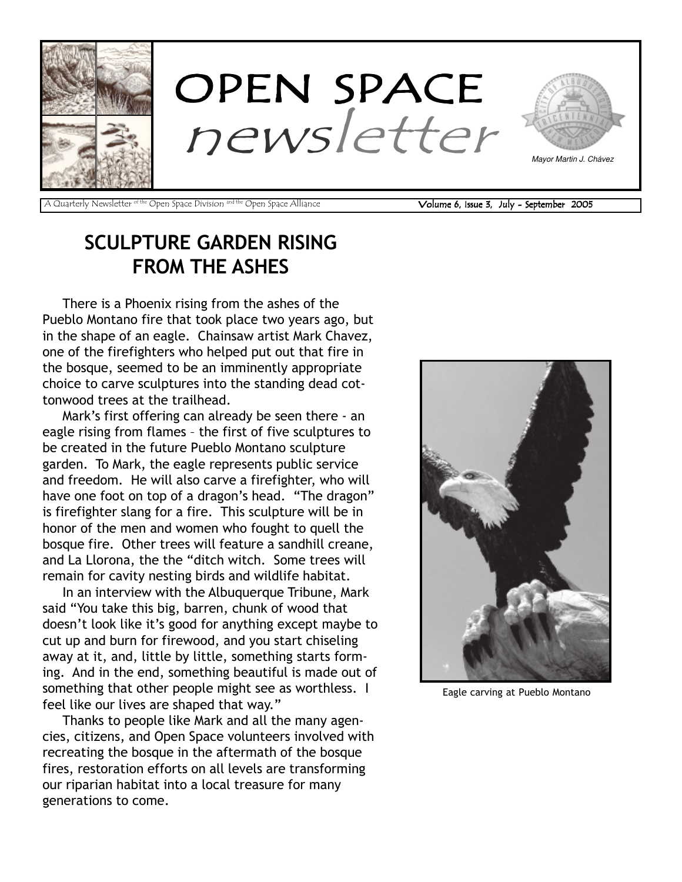

A Quarterly Newsletter <sup>of the</sup> Open Space Division <sup>and the</sup> Open Space Alliance **Volume 6, Issue 3, July - September 2005** 

# SCULPTURE GARDEN RISING FROM THE ASHES

There is a Phoenix rising from the ashes of the Pueblo Montano fire that took place two years ago, but in the shape of an eagle. Chainsaw artist Mark Chavez, one of the firefighters who helped put out that fire in the bosque, seemed to be an imminently appropriate choice to carve sculptures into the standing dead cottonwood trees at the trailhead.

Mark's first offering can already be seen there - an eagle rising from flames - the first of five sculptures to be created in the future Pueblo Montano sculpture garden. To Mark, the eagle represents public service and freedom. He will also carve a firefighter, who will have one foot on top of a dragon's head. "The dragon" is firefighter slang for a fire. This sculpture will be in honor of the men and women who fought to quell the bosque fire. Other trees will feature a sandhill creane, and La Llorona, the the "ditch witch. Some trees will remain for cavity nesting birds and wildlife habitat.

In an interview with the Albuquerque Tribune, Mark said "You take this big, barren, chunk of wood that doesn't look like it's good for anything except maybe to cut up and burn for firewood, and you start chiseling away at it, and, little by little, something starts forming. And in the end, something beautiful is made out of something that other people might see as worthless. I feel like our lives are shaped that way."

Thanks to people like Mark and all the many agencies, citizens, and Open Space volunteers involved with recreating the bosque in the aftermath of the bosque fires, restoration efforts on all levels are transforming our riparian habitat into a local treasure for many generations to come.



Eagle carving at Pueblo Montano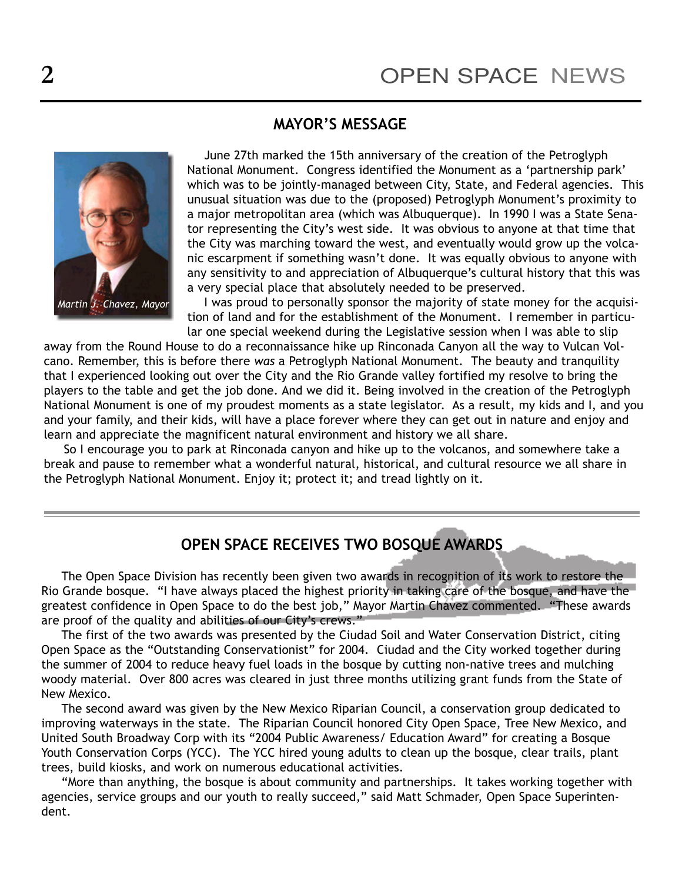#### MAYOR'S MESSAGE



June 27th marked the 15th anniversary of the creation of the Petroglyph National Monument. Congress identified the Monument as a 'partnership park' which was to be jointly-managed between City, State, and Federal agencies. This unusual situation was due to the (proposed) Petroglyph Monument's proximity to a major metropolitan area (which was Albuquerque). In 1990 I was a State Senator representing the City's west side. It was obvious to anyone at that time that the City was marching toward the west, and eventually would grow up the volcanic escarpment if something wasn't done. It was equally obvious to anyone with any sensitivity to and appreciation of Albuquerque's cultural history that this was a very special place that absolutely needed to be preserved.

I was proud to personally sponsor the majority of state money for the acquisition of land and for the establishment of the Monument. I remember in particular one special weekend during the Legislative session when I was able to slip

away from the Round House to do a reconnaissance hike up Rinconada Canyon all the way to Vulcan Volcano. Remember, this is before there was a Petroglyph National Monument. The beauty and tranquility that I experienced looking out over the City and the Rio Grande valley fortified my resolve to bring the players to the table and get the job done. And we did it. Being involved in the creation of the Petroglyph National Monument is one of my proudest moments as a state legislator. As a result, my kids and I, and you and your family, and their kids, will have a place forever where they can get out in nature and enjoy and learn and appreciate the magnificent natural environment and history we all share.

So I encourage you to park at Rinconada canyon and hike up to the volcanos, and somewhere take a break and pause to remember what a wonderful natural, historical, and cultural resource we all share in the Petroglyph National Monument. Enjoy it; protect it; and tread lightly on it.

#### OPEN SPACE RECEIVES TWO BOSQUE AWARDS

The Open Space Division has recently been given two awards in recognition of its work to restore the Rio Grande bosque. "I have always placed the highest priority in taking care of the bosque, and have the greatest confidence in Open Space to do the best job," Mayor Martin Chavez commented. "These awards are proof of the quality and abilities of our City's crews."

The first of the two awards was presented by the Ciudad Soil and Water Conservation District, citing Open Space as the "Outstanding Conservationist" for 2004. Ciudad and the City worked together during the summer of 2004 to reduce heavy fuel loads in the bosque by cutting non-native trees and mulching woody material. Over 800 acres was cleared in just three months utilizing grant funds from the State of New Mexico.

The second award was given by the New Mexico Riparian Council, a conservation group dedicated to improving waterways in the state. The Riparian Council honored City Open Space, Tree New Mexico, and United South Broadway Corp with its "2004 Public Awareness/ Education Award" for creating a Bosque Youth Conservation Corps (YCC). The YCC hired young adults to clean up the bosque, clear trails, plant trees, build kiosks, and work on numerous educational activities.

"More than anything, the bosque is about community and partnerships. It takes working together with agencies, service groups and our youth to really succeed," said Matt Schmader, Open Space Superintendent.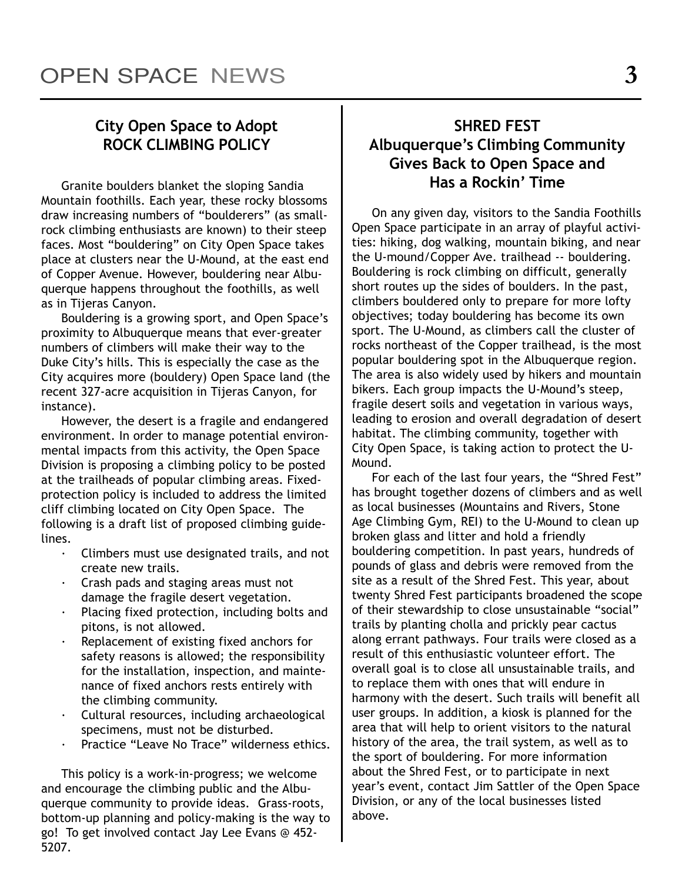### City Open Space to Adopt ROCK CLIMBING POLICY

Granite boulders blanket the sloping Sandia Mountain foothills. Each year, these rocky blossoms draw increasing numbers of "boulderers" (as smallrock climbing enthusiasts are known) to their steep faces. Most "bouldering" on City Open Space takes place at clusters near the U-Mound, at the east end of Copper Avenue. However, bouldering near Albuquerque happens throughout the foothills, as well as in Tijeras Canyon.

Bouldering is a growing sport, and Open Space's proximity to Albuquerque means that ever-greater numbers of climbers will make their way to the Duke City's hills. This is especially the case as the City acquires more (bouldery) Open Space land (the recent 327-acre acquisition in Tijeras Canyon, for instance).

However, the desert is a fragile and endangered environment. In order to manage potential environmental impacts from this activity, the Open Space Division is proposing a climbing policy to be posted at the trailheads of popular climbing areas. Fixedprotection policy is included to address the limited cliff climbing located on City Open Space. The following is a draft list of proposed climbing guidelines.

- Climbers must use designated trails, and not create new trails.
- · Crash pads and staging areas must not damage the fragile desert vegetation.
- Placing fixed protection, including bolts and pitons, is not allowed.
- Replacement of existing fixed anchors for safety reasons is allowed; the responsibility for the installation, inspection, and maintenance of fixed anchors rests entirely with the climbing community.
- · Cultural resources, including archaeological specimens, must not be disturbed.
- Practice "Leave No Trace" wilderness ethics.

This policy is a work-in-progress; we welcome and encourage the climbing public and the Albuquerque community to provide ideas. Grass-roots, bottom-up planning and policy-making is the way to go! To get involved contact Jay Lee Evans @ 452- 5207.

### SHRED FEST Albuquerque's Climbing Community Gives Back to Open Space and Has a Rockin' Time

On any given day, visitors to the Sandia Foothills Open Space participate in an array of playful activities: hiking, dog walking, mountain biking, and near the U-mound/Copper Ave. trailhead -- bouldering. Bouldering is rock climbing on difficult, generally short routes up the sides of boulders. In the past, climbers bouldered only to prepare for more lofty objectives; today bouldering has become its own sport. The U-Mound, as climbers call the cluster of rocks northeast of the Copper trailhead, is the most popular bouldering spot in the Albuquerque region. The area is also widely used by hikers and mountain bikers. Each group impacts the U-Mound's steep, fragile desert soils and vegetation in various ways, leading to erosion and overall degradation of desert habitat. The climbing community, together with City Open Space, is taking action to protect the U-Mound.

For each of the last four years, the "Shred Fest" has brought together dozens of climbers and as well as local businesses (Mountains and Rivers, Stone Age Climbing Gym, REI) to the U-Mound to clean up broken glass and litter and hold a friendly bouldering competition. In past years, hundreds of pounds of glass and debris were removed from the site as a result of the Shred Fest. This year, about twenty Shred Fest participants broadened the scope of their stewardship to close unsustainable "social" trails by planting cholla and prickly pear cactus along errant pathways. Four trails were closed as a result of this enthusiastic volunteer effort. The overall goal is to close all unsustainable trails, and to replace them with ones that will endure in harmony with the desert. Such trails will benefit all user groups. In addition, a kiosk is planned for the area that will help to orient visitors to the natural history of the area, the trail system, as well as to the sport of bouldering. For more information about the Shred Fest, or to participate in next year's event, contact Jim Sattler of the Open Space Division, or any of the local businesses listed above.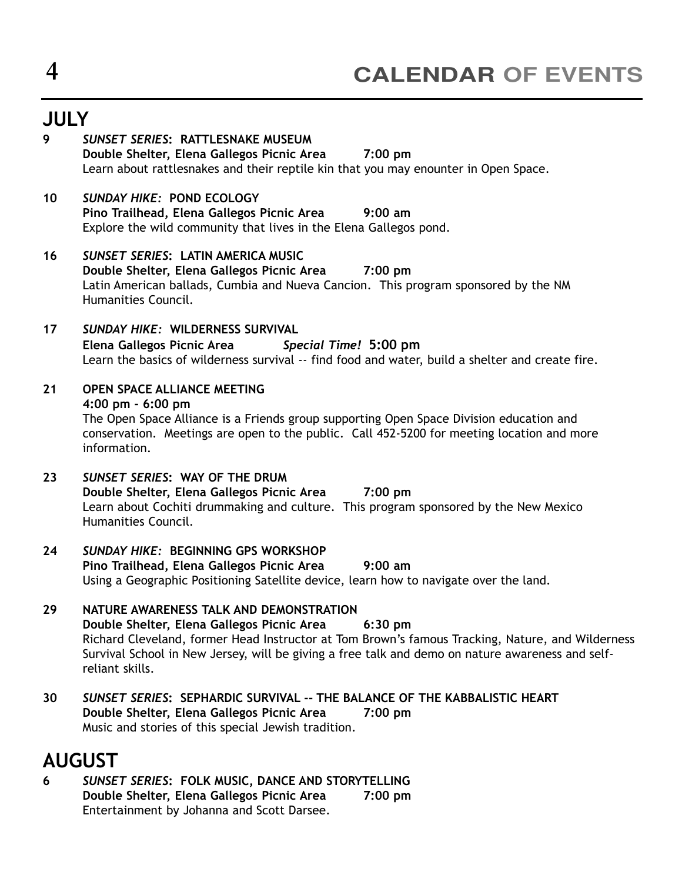# **JULY**

9 SUNSET SERIES: RATTLESNAKE MUSEUM Double Shelter, Elena Gallegos Picnic Area 7:00 pm Learn about rattlesnakes and their reptile kin that you may enounter in Open Space. 10 SUNDAY HIKE: POND ECOLOGY Pino Trailhead, Elena Gallegos Picnic Area 9:00 am Explore the wild community that lives in the Elena Gallegos pond. 16 SUNSET SERIES: LATIN AMERICA MUSIC Double Shelter, Elena Gallegos Picnic Area 7:00 pm Latin American ballads, Cumbia and Nueva Cancion. This program sponsored by the NM Humanities Council. 17 SUNDAY HIKE: WILDERNESS SURVIVAL Elena Gallegos Picnic Area Special Time! 5:00 pm Learn the basics of wilderness survival -- find food and water, build a shelter and create fire. 21 OPEN SPACE ALLIANCE MEETING 4:00 pm - 6:00 pm The Open Space Alliance is a Friends group supporting Open Space Division education and conservation. Meetings are open to the public. Call 452-5200 for meeting location and more information. 23 SUNSET SERIES: WAY OF THE DRUM Double Shelter, Elena Gallegos Picnic Area 7:00 pm Learn about Cochiti drummaking and culture. This program sponsored by the New Mexico Humanities Council. 24 SUNDAY HIKE: BEGINNING GPS WORKSHOP Pino Trailhead, Elena Gallegos Picnic Area 9:00 am Using a Geographic Positioning Satellite device, learn how to navigate over the land. 29 NATURE AWARENESS TALK AND DEMONSTRATION Double Shelter, Elena Gallegos Picnic Area 6:30 pm Richard Cleveland, former Head Instructor at Tom Brown's famous Tracking, Nature, and Wilderness Survival School in New Jersey, will be giving a free talk and demo on nature awareness and selfreliant skills. 30 SUNSET SERIES: SEPHARDIC SURVIVAL -- THE BALANCE OF THE KABBALISTIC HEART Double Shelter, Elena Gallegos Picnic Area 7:00 pm Music and stories of this special Jewish tradition.

# AUGUST

6 SUNSET SERIES: FOLK MUSIC, DANCE AND STORYTELLING Double Shelter, Elena Gallegos Picnic Area 7:00 pm Entertainment by Johanna and Scott Darsee.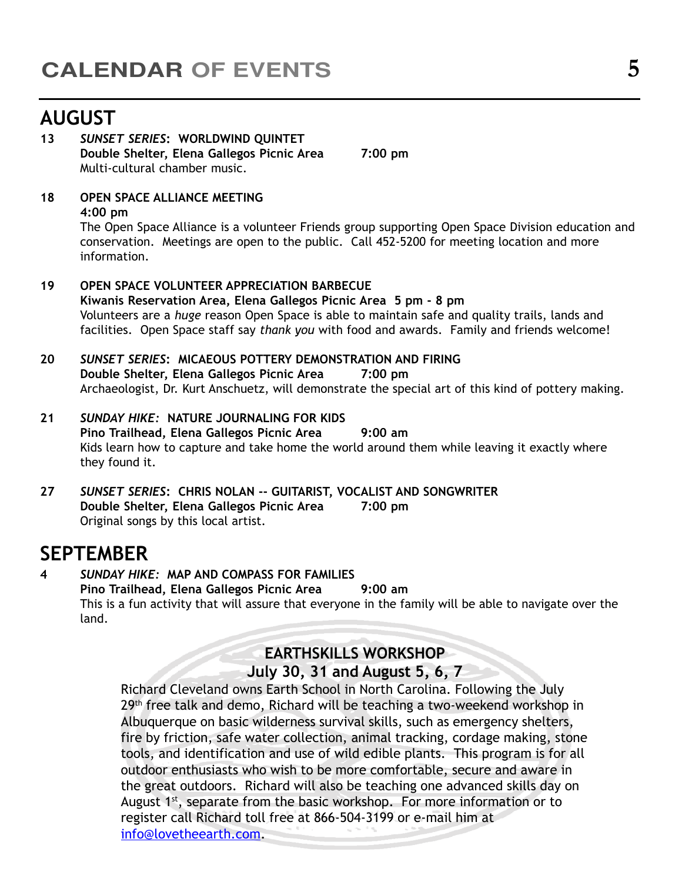# AUGUST

#### 13 SUNSET SERIES: WORLDWIND QUINTET Double Shelter, Elena Gallegos Picnic Area 7:00 pm Multi-cultural chamber music.

#### 18 OPEN SPACE ALLIANCE MEETING 4:00 pm

The Open Space Alliance is a volunteer Friends group supporting Open Space Division education and conservation. Meetings are open to the public. Call 452-5200 for meeting location and more information.

- 19 OPEN SPACE VOLUNTEER APPRECIATION BARBECUE Kiwanis Reservation Area, Elena Gallegos Picnic Area 5 pm - 8 pm Volunteers are a huge reason Open Space is able to maintain safe and quality trails, lands and facilities. Open Space staff say thank you with food and awards. Family and friends welcome!
- 20 SUNSET SERIES: MICAEOUS POTTERY DEMONSTRATION AND FIRING Double Shelter, Elena Gallegos Picnic Area 7:00 pm Archaeologist, Dr. Kurt Anschuetz, will demonstrate the special art of this kind of pottery making.
- 21 SUNDAY HIKE: NATURE JOURNALING FOR KIDS Pino Trailhead, Elena Gallegos Picnic Area 9:00 am Kids learn how to capture and take home the world around them while leaving it exactly where they found it.
- 27 SUNSET SERIES: CHRIS NOLAN -- GUITARIST, VOCALIST AND SONGWRITER Double Shelter, Elena Gallegos Picnic Area 7:00 pm Original songs by this local artist.

## SEPTEMBER

#### 4 SUNDAY HIKE: MAP AND COMPASS FOR FAMILIES Pino Trailhead, Elena Gallegos Picnic Area 9:00 am This is a fun activity that will assure that everyone in the family will be able to navigate over the land.

#### EARTHSKILLS WORKSHOP

#### July 30, 31 and August 5, 6, 7

Richard Cleveland owns Earth School in North Carolina. Following the July 29<sup>th</sup> free talk and demo, Richard will be teaching a two-weekend workshop in Albuquerque on basic wilderness survival skills, such as emergency shelters, fire by friction, safe water collection, animal tracking, cordage making, stone tools, and identification and use of wild edible plants. This program is for all outdoor enthusiasts who wish to be more comfortable, secure and aware in the great outdoors. Richard will also be teaching one advanced skills day on August 1<sup>st</sup>, separate from the basic workshop. For more information or to register call Richard toll free at 866-504-3199 or e-mail him at info@lovetheearth.com.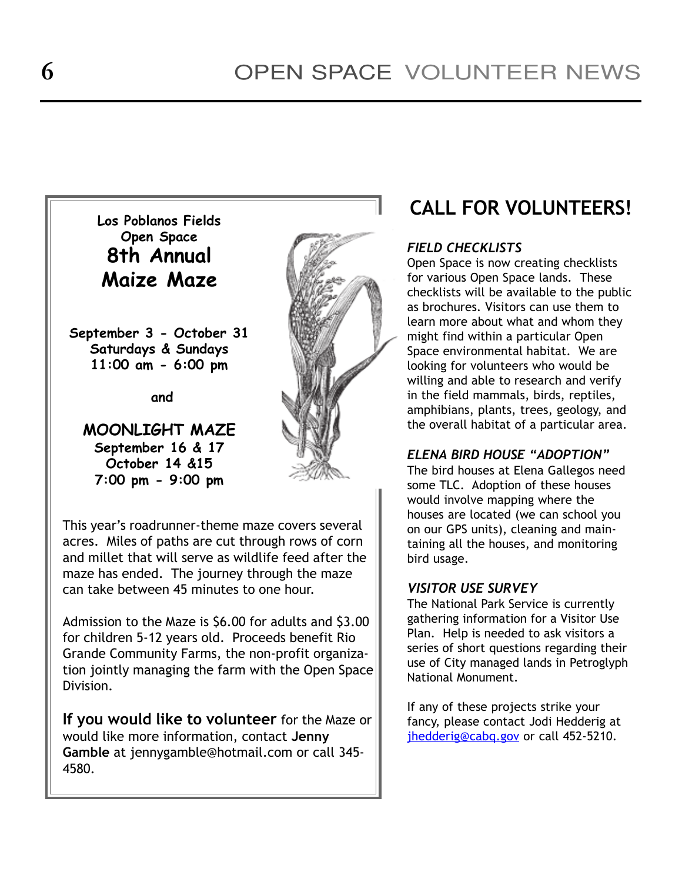

This year's roadrunner-theme maze covers several acres. Miles of paths are cut through rows of corn and millet that will serve as wildlife feed after the maze has ended. The journey through the maze can take between 45 minutes to one hour.

Admission to the Maze is \$6.00 for adults and \$3.00 for children 5-12 years old. Proceeds benefit Rio Grande Community Farms, the non-profit organization jointly managing the farm with the Open Space Division.

If you would like to volunteer for the Maze or would like more information, contact Jenny Gamble at jennygamble@hotmail.com or call 345- 4580.

# CALL FOR VOLUNTEERS!

#### FIELD CHECKLISTS

Open Space is now creating checklists for various Open Space lands. These checklists will be available to the public as brochures. Visitors can use them to learn more about what and whom they might find within a particular Open Space environmental habitat. We are looking for volunteers who would be willing and able to research and verify in the field mammals, birds, reptiles, amphibians, plants, trees, geology, and the overall habitat of a particular area.

#### **ELENA BIRD HOUSE "ADOPTION"**

The bird houses at Elena Gallegos need some TLC. Adoption of these houses would involve mapping where the houses are located (we can school you on our GPS units), cleaning and maintaining all the houses, and monitoring bird usage.

#### VISITOR USE SURVEY

The National Park Service is currently gathering information for a Visitor Use Plan. Help is needed to ask visitors a series of short questions regarding their use of City managed lands in Petroglyph National Monument.

If any of these projects strike your fancy, please contact Jodi Hedderig at jhedderig@cabq.gov or call 452-5210.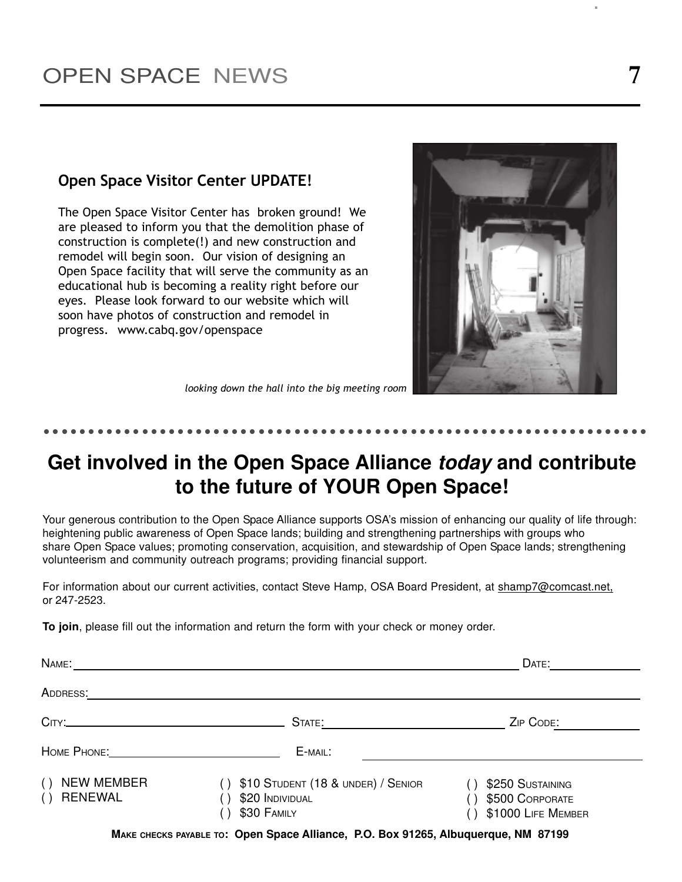#### Open Space Visitor Center UPDATE!

The Open Space Visitor Center has broken ground! We are pleased to inform you that the demolition phase of construction is complete(!) and new construction and remodel will begin soon. Our vision of designing an Open Space facility that will serve the community as an educational hub is becoming a reality right before our eyes. Please look forward to our website which will soon have photos of construction and remodel in progress. www.cabq.gov/openspace



looking down the hall into the big meeting room

#### - -- --- -- --- -- ------ -- --- -- --- -- --- -- ------- - - - -- - - - -- - - - -- - - - -

# **Get involved in the Open Space Alliance today and contribute to the future of YOUR Open Space!**

Your generous contribution to the Open Space Alliance supports OSA's mission of enhancing our quality of life through: heightening public awareness of Open Space lands; building and strengthening partnerships with groups who share Open Space values; promoting conservation, acquisition, and stewardship of Open Space lands; strengthening volunteerism and community outreach programs; providing financial support.

For information about our current activities, contact Steve Hamp, OSA Board President, at shamp7@comcast.net, or 247-2523.

**To join**, please fill out the information and return the form with your check or money order.

| NAME:                                             |                                                                      | DATE:                                                     |
|---------------------------------------------------|----------------------------------------------------------------------|-----------------------------------------------------------|
| ADDRESS:                                          |                                                                      |                                                           |
|                                                   | STATE:                                                               | ZIP CODE:                                                 |
|                                                   | E-MAIL:                                                              |                                                           |
| <b>NEW MEMBER</b><br>( )<br><b>RENEWAL</b><br>( ) | \$10 STUDENT (18 & UNDER) / SENIOR<br>\$20 INDIVIDUAL<br>\$30 FAMILY | \$250 SUSTAINING<br>\$500 CORPORATE<br>\$1000 LIFE MEMBER |
|                                                   |                                                                      |                                                           |

**MAKE CHECKS PAYABLE TO: Open Space Alliance, P.O. Box 91265, Albuquerque, NM 87199**